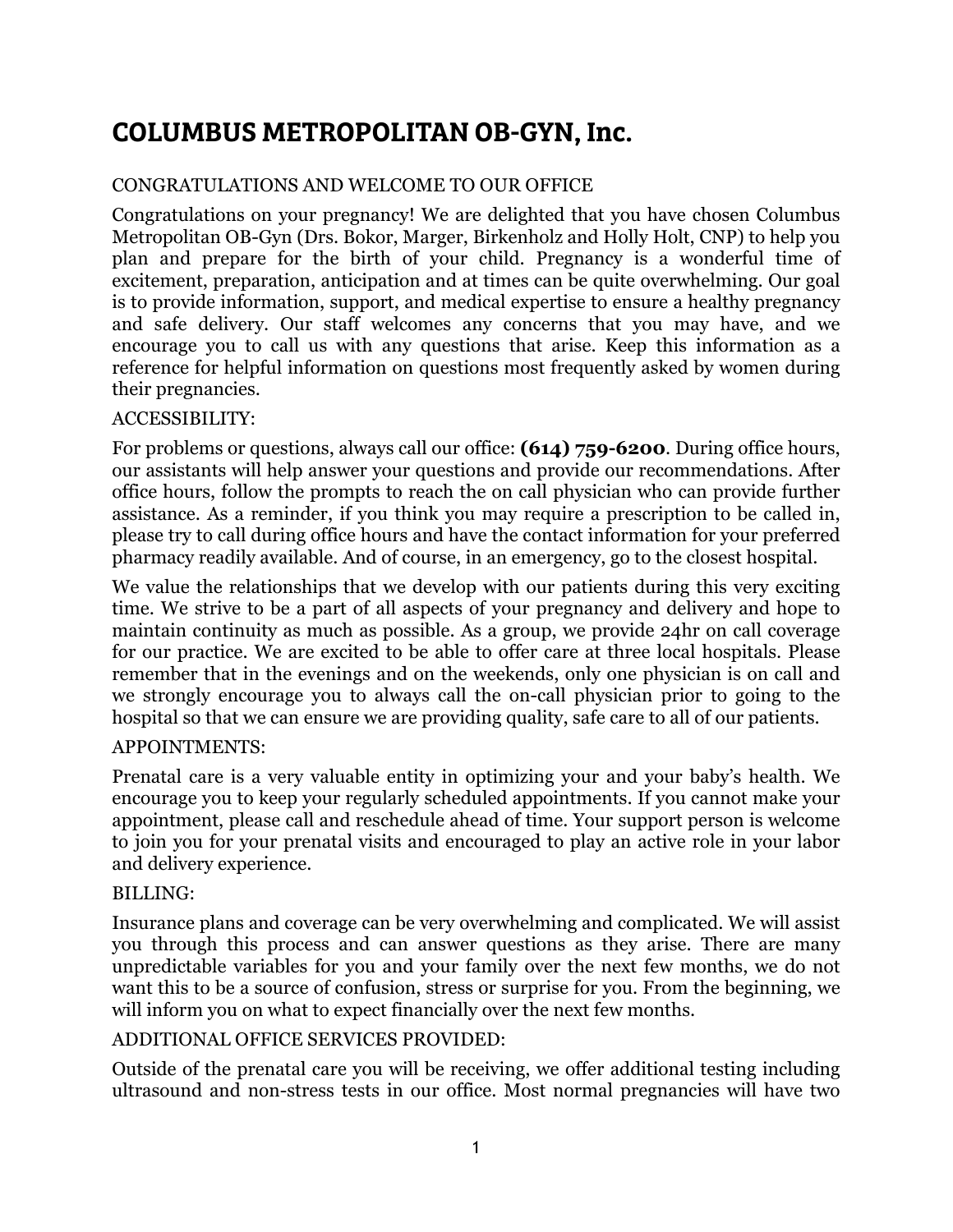# COLUMBUS METROPOLITAN OB-GYN, Inc.

#### CONGRATULATIONS AND WELCOME TO OUR OFFICE

Congratulations on your pregnancy! We are delighted that you have chosen Columbus Metropolitan OB-Gyn (Drs. Bokor, Marger, Birkenholz and Holly Holt, CNP) to help you plan and prepare for the birth of your child. Pregnancy is a wonderful time of excitement, preparation, anticipation and at times can be quite overwhelming. Our goal is to provide information, support, and medical expertise to ensure a healthy pregnancy and safe delivery. Our staff welcomes any concerns that you may have, and we encourage you to call us with any questions that arise. Keep this information as a reference for helpful information on questions most frequently asked by women during their pregnancies.

#### ACCESSIBILITY:

For problems or questions, always call our office: **(614) 759-6200**. During office hours, our assistants will help answer your questions and provide our recommendations. After office hours, follow the prompts to reach the on call physician who can provide further assistance. As a reminder, if you think you may require a prescription to be called in, please try to call during office hours and have the contact information for your preferred pharmacy readily available. And of course, in an emergency, go to the closest hospital.

We value the relationships that we develop with our patients during this very exciting time. We strive to be a part of all aspects of your pregnancy and delivery and hope to maintain continuity as much as possible. As a group, we provide 24hr on call coverage for our practice. We are excited to be able to offer care at three local hospitals. Please remember that in the evenings and on the weekends, only one physician is on call and we strongly encourage you to always call the on-call physician prior to going to the hospital so that we can ensure we are providing quality, safe care to all of our patients.

#### APPOINTMENTS:

Prenatal care is a very valuable entity in optimizing your and your baby's health. We encourage you to keep your regularly scheduled appointments. If you cannot make your appointment, please call and reschedule ahead of time. Your support person is welcome to join you for your prenatal visits and encouraged to play an active role in your labor and delivery experience.

#### BILLING:

Insurance plans and coverage can be very overwhelming and complicated. We will assist you through this process and can answer questions as they arise. There are many unpredictable variables for you and your family over the next few months, we do not want this to be a source of confusion, stress or surprise for you. From the beginning, we will inform you on what to expect financially over the next few months.

#### ADDITIONAL OFFICE SERVICES PROVIDED:

Outside of the prenatal care you will be receiving, we offer additional testing including ultrasound and non-stress tests in our office. Most normal pregnancies will have two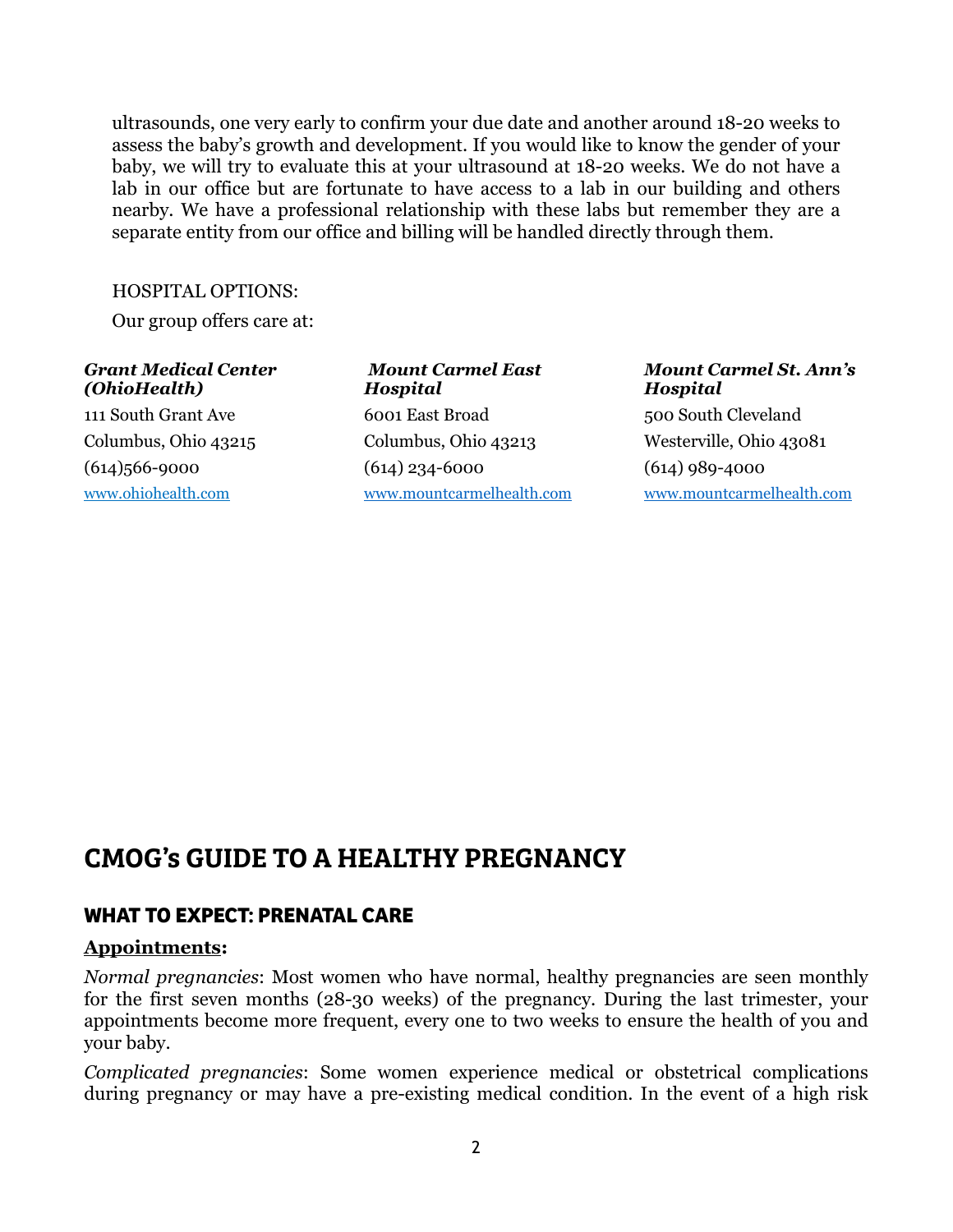ultrasounds, one very early to confirm your due date and another around 18-20 weeks to assess the baby's growth and development. If you would like to know the gender of your baby, we will try to evaluate this at your ultrasound at 18-20 weeks. We do not have a lab in our office but are fortunate to have access to a lab in our building and others nearby. We have a professional relationship with these labs but remember they are a separate entity from our office and billing will be handled directly through them.

#### HOSPITAL OPTIONS:

Our group offers care at:

#### *Grant Medical Center (OhioHealth)*

111 South Grant Ave Columbus, Ohio 43215 (614)566-9000 www.ohiohealth.com

 *Mount Carmel East Hospital*  6001 East Broad Columbus, Ohio 43213 (614) 234-6000 www.mountcarmelhealth.com

#### *Mount Carmel St. Ann's Hospital* 500 South Cleveland Westerville, Ohio 43081 (614) 989-4000

www.mountcarmelhealth.com

# CMOG's GUIDE TO A HEALTHY PREGNANCY

### **WHAT TO EXPECT: PRENATAL CARE**

#### **Appointments:**

*Normal pregnancies*: Most women who have normal, healthy pregnancies are seen monthly for the first seven months (28-30 weeks) of the pregnancy. During the last trimester, your appointments become more frequent, every one to two weeks to ensure the health of you and your baby.

*Complicated pregnancies*: Some women experience medical or obstetrical complications during pregnancy or may have a pre-existing medical condition. In the event of a high risk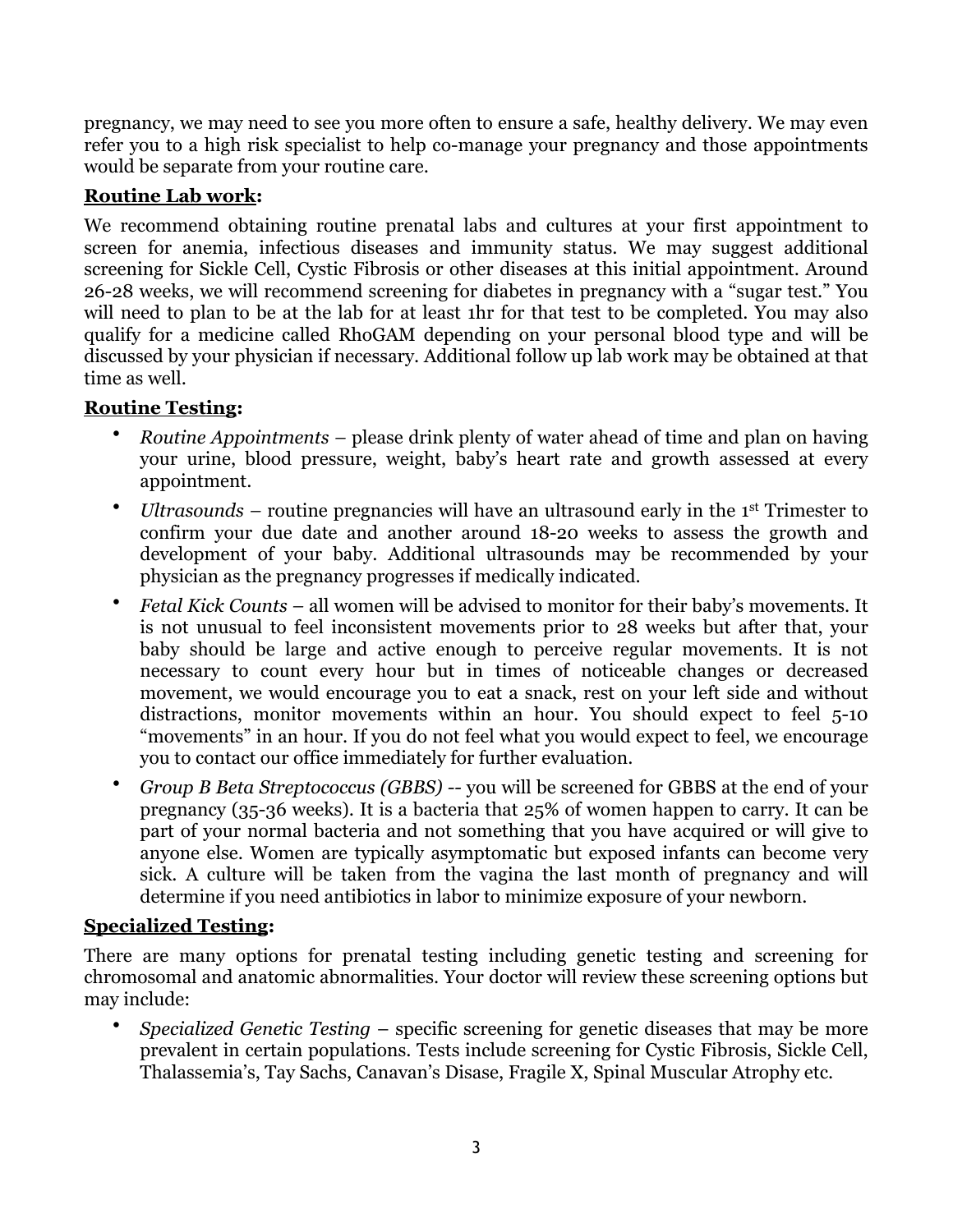pregnancy, we may need to see you more often to ensure a safe, healthy delivery. We may even refer you to a high risk specialist to help co-manage your pregnancy and those appointments would be separate from your routine care.

## **Routine Lab work:**

We recommend obtaining routine prenatal labs and cultures at your first appointment to screen for anemia, infectious diseases and immunity status. We may suggest additional screening for Sickle Cell, Cystic Fibrosis or other diseases at this initial appointment. Around 26-28 weeks, we will recommend screening for diabetes in pregnancy with a "sugar test." You will need to plan to be at the lab for at least 1hr for that test to be completed. You may also qualify for a medicine called RhoGAM depending on your personal blood type and will be discussed by your physician if necessary. Additional follow up lab work may be obtained at that time as well.

### **Routine Testing:**

- *Routine Appointments –* please drink plenty of water ahead of time and plan on having your urine, blood pressure, weight, baby's heart rate and growth assessed at every appointment.
- *Ultrasounds* routine pregnancies will have an ultrasound early in the 1st Trimester to confirm your due date and another around 18-20 weeks to assess the growth and development of your baby. Additional ultrasounds may be recommended by your physician as the pregnancy progresses if medically indicated.
- *Fetal Kick Counts* all women will be advised to monitor for their baby's movements. It is not unusual to feel inconsistent movements prior to 28 weeks but after that, your baby should be large and active enough to perceive regular movements. It is not necessary to count every hour but in times of noticeable changes or decreased movement, we would encourage you to eat a snack, rest on your left side and without distractions, monitor movements within an hour. You should expect to feel 5-10 "movements" in an hour. If you do not feel what you would expect to feel, we encourage you to contact our office immediately for further evaluation.
- *Group B Beta Streptococcus (GBBS) --* you will be screened for GBBS at the end of your pregnancy (35-36 weeks). It is a bacteria that 25% of women happen to carry. It can be part of your normal bacteria and not something that you have acquired or will give to anyone else. Women are typically asymptomatic but exposed infants can become very sick. A culture will be taken from the vagina the last month of pregnancy and will determine if you need antibiotics in labor to minimize exposure of your newborn.

#### **Specialized Testing:**

There are many options for prenatal testing including genetic testing and screening for chromosomal and anatomic abnormalities. Your doctor will review these screening options but may include:

• *Specialized Genetic Testing* – specific screening for genetic diseases that may be more prevalent in certain populations. Tests include screening for Cystic Fibrosis, Sickle Cell, Thalassemia's, Tay Sachs, Canavan's Disase, Fragile X, Spinal Muscular Atrophy etc.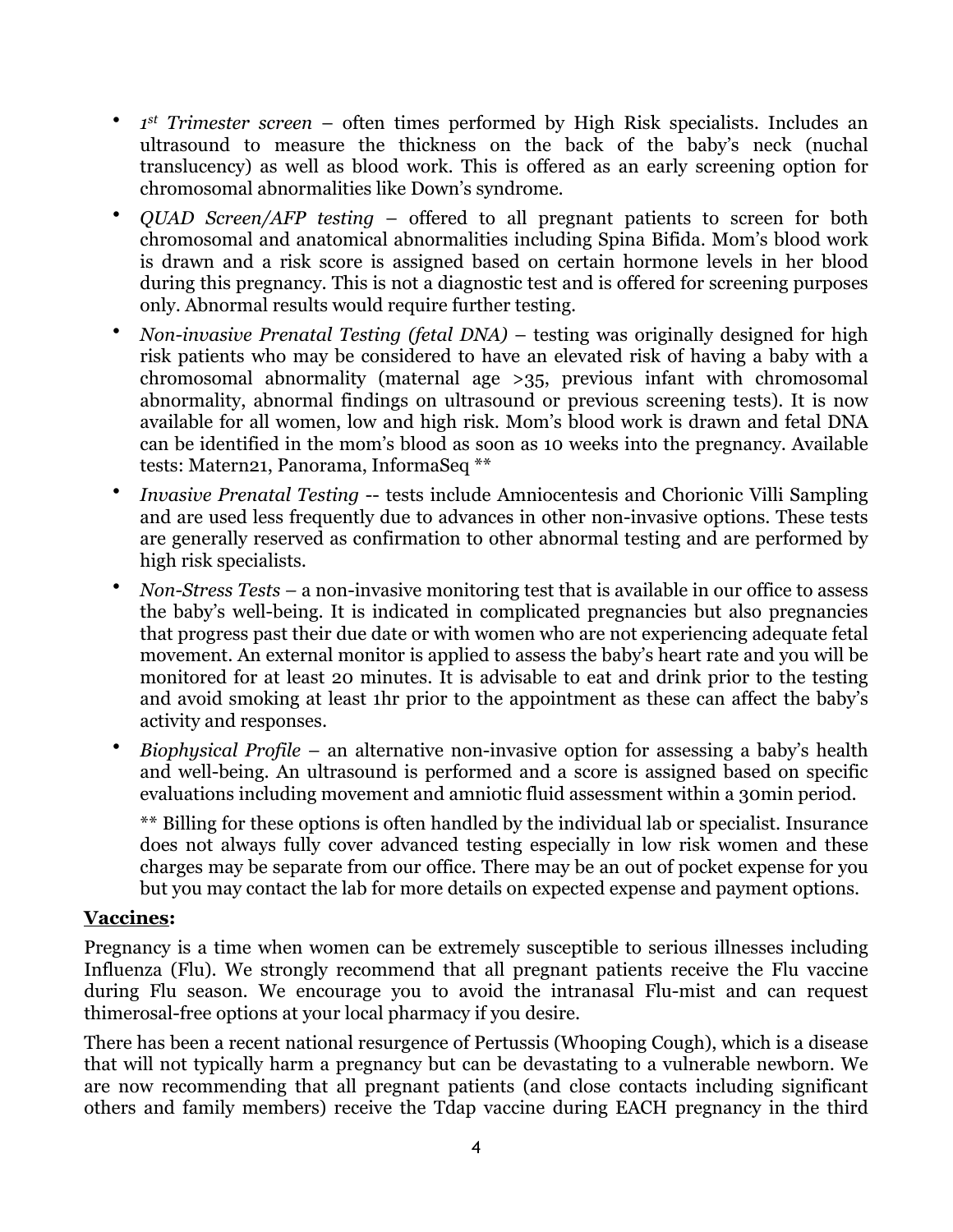- *1st Trimester screen* often times performed by High Risk specialists. Includes an ultrasound to measure the thickness on the back of the baby's neck (nuchal translucency) as well as blood work. This is offered as an early screening option for chromosomal abnormalities like Down's syndrome.
- *QUAD Screen/AFP testing* offered to all pregnant patients to screen for both chromosomal and anatomical abnormalities including Spina Bifida. Mom's blood work is drawn and a risk score is assigned based on certain hormone levels in her blood during this pregnancy. This is not a diagnostic test and is offered for screening purposes only. Abnormal results would require further testing.
- *Non-invasive Prenatal Testing (fetal DNA)* testing was originally designed for high risk patients who may be considered to have an elevated risk of having a baby with a chromosomal abnormality (maternal age >35, previous infant with chromosomal abnormality, abnormal findings on ultrasound or previous screening tests). It is now available for all women, low and high risk. Mom's blood work is drawn and fetal DNA can be identified in the mom's blood as soon as 10 weeks into the pregnancy. Available tests: Matern21, Panorama, InformaSeq \*\*
- *Invasive Prenatal Testing* -- tests include Amniocentesis and Chorionic Villi Sampling and are used less frequently due to advances in other non-invasive options. These tests are generally reserved as confirmation to other abnormal testing and are performed by high risk specialists.
- *Non-Stress Tests* a non-invasive monitoring test that is available in our office to assess the baby's well-being. It is indicated in complicated pregnancies but also pregnancies that progress past their due date or with women who are not experiencing adequate fetal movement. An external monitor is applied to assess the baby's heart rate and you will be monitored for at least 20 minutes. It is advisable to eat and drink prior to the testing and avoid smoking at least 1hr prior to the appointment as these can affect the baby's activity and responses.
- *Biophysical Profile*  an alternative non-invasive option for assessing a baby's health and well-being. An ultrasound is performed and a score is assigned based on specific evaluations including movement and amniotic fluid assessment within a 30min period.

\*\* Billing for these options is often handled by the individual lab or specialist. Insurance does not always fully cover advanced testing especially in low risk women and these charges may be separate from our office. There may be an out of pocket expense for you but you may contact the lab for more details on expected expense and payment options.

#### **Vaccines:**

Pregnancy is a time when women can be extremely susceptible to serious illnesses including Influenza (Flu). We strongly recommend that all pregnant patients receive the Flu vaccine during Flu season. We encourage you to avoid the intranasal Flu-mist and can request thimerosal-free options at your local pharmacy if you desire.

There has been a recent national resurgence of Pertussis (Whooping Cough), which is a disease that will not typically harm a pregnancy but can be devastating to a vulnerable newborn. We are now recommending that all pregnant patients (and close contacts including significant others and family members) receive the Tdap vaccine during EACH pregnancy in the third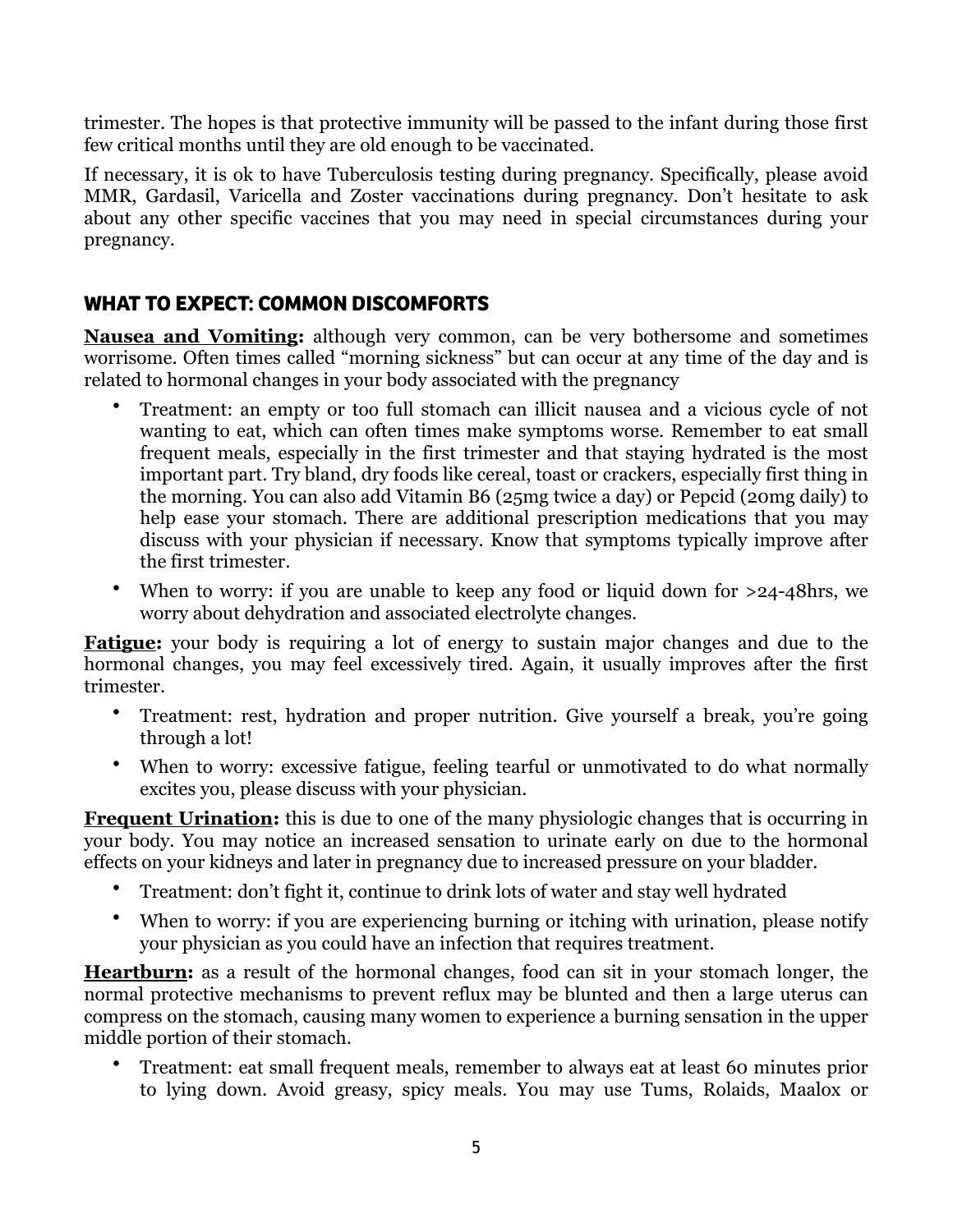trimester. The hopes is that protective immunity will be passed to the infant during those first few critical months until they are old enough to be vaccinated.

If necessary, it is ok to have Tuberculosis testing during pregnancy. Specifically, please avoid MMR, Gardasil, Varicella and Zoster vaccinations during pregnancy. Don't hesitate to ask about any other specific vaccines that you may need in special circumstances during your pregnancy.

## **WHAT TO EXPECT: COMMON DISCOMFORTS**

**Nausea and Vomiting:** although very common, can be very bothersome and sometimes worrisome. Often times called "morning sickness" but can occur at any time of the day and is related to hormonal changes in your body associated with the pregnancy

- Treatment: an empty or too full stomach can illicit nausea and a vicious cycle of not wanting to eat, which can often times make symptoms worse. Remember to eat small frequent meals, especially in the first trimester and that staying hydrated is the most important part. Try bland, dry foods like cereal, toast or crackers, especially first thing in the morning. You can also add Vitamin B6 (25mg twice a day) or Pepcid (20mg daily) to help ease your stomach. There are additional prescription medications that you may discuss with your physician if necessary. Know that symptoms typically improve after the first trimester.
- When to worry: if you are unable to keep any food or liquid down for >24-48hrs, we worry about dehydration and associated electrolyte changes.

**Fatigue:** your body is requiring a lot of energy to sustain major changes and due to the hormonal changes, you may feel excessively tired. Again, it usually improves after the first trimester.

- Treatment: rest, hydration and proper nutrition. Give yourself a break, you're going through a lot!
- When to worry: excessive fatigue, feeling tearful or unmotivated to do what normally excites you, please discuss with your physician.

**Frequent Urination:** this is due to one of the many physiologic changes that is occurring in your body. You may notice an increased sensation to urinate early on due to the hormonal effects on your kidneys and later in pregnancy due to increased pressure on your bladder.

- Treatment: don't fight it, continue to drink lots of water and stay well hydrated
- When to worry: if you are experiencing burning or itching with urination, please notify your physician as you could have an infection that requires treatment.

**Heartburn:** as a result of the hormonal changes, food can sit in your stomach longer, the normal protective mechanisms to prevent reflux may be blunted and then a large uterus can compress on the stomach, causing many women to experience a burning sensation in the upper middle portion of their stomach.

• Treatment: eat small frequent meals, remember to always eat at least 60 minutes prior to lying down. Avoid greasy, spicy meals. You may use Tums, Rolaids, Maalox or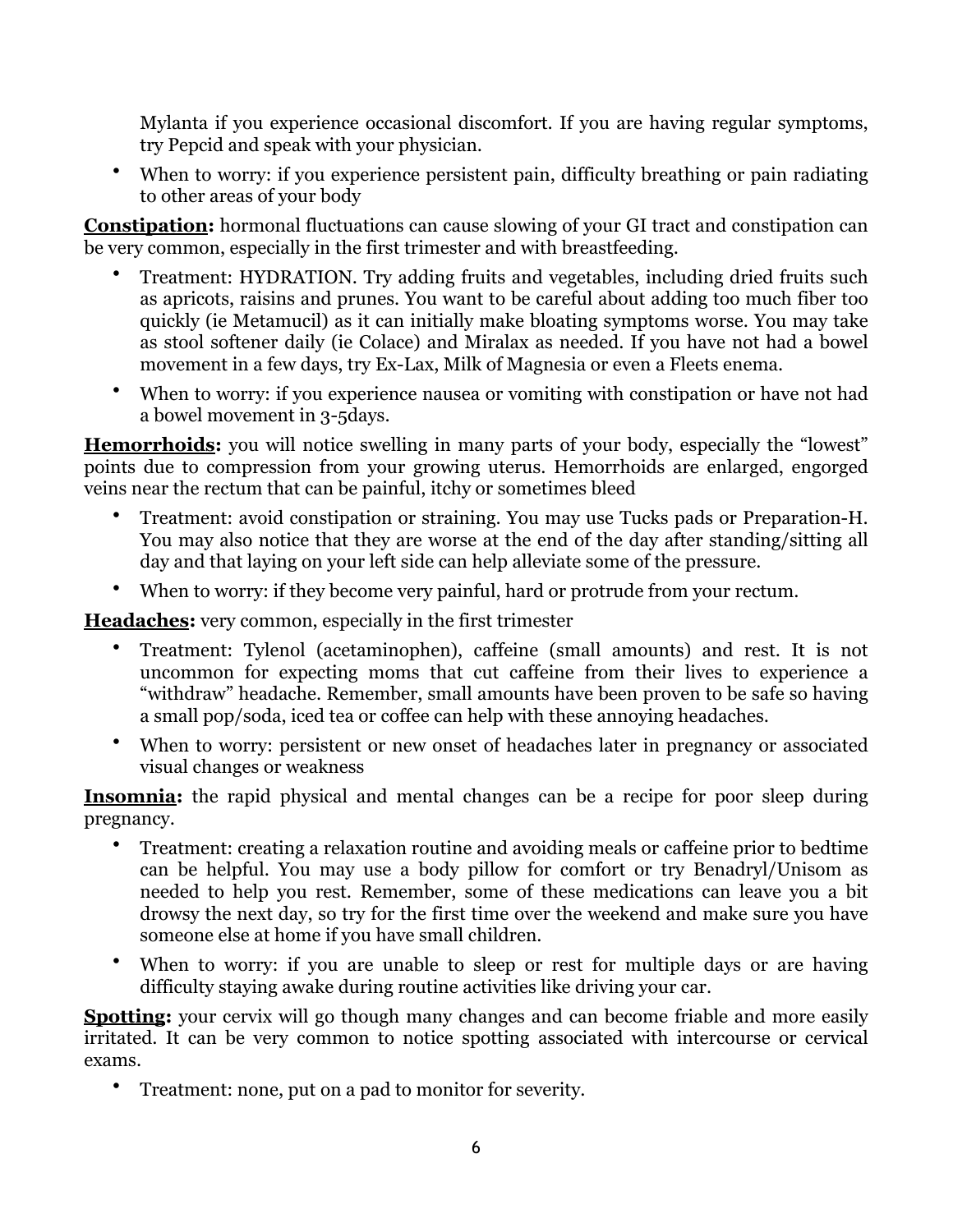Mylanta if you experience occasional discomfort. If you are having regular symptoms, try Pepcid and speak with your physician.

• When to worry: if you experience persistent pain, difficulty breathing or pain radiating to other areas of your body

**Constipation:** hormonal fluctuations can cause slowing of your GI tract and constipation can be very common, especially in the first trimester and with breastfeeding.

- Treatment: HYDRATION. Try adding fruits and vegetables, including dried fruits such as apricots, raisins and prunes. You want to be careful about adding too much fiber too quickly (ie Metamucil) as it can initially make bloating symptoms worse. You may take as stool softener daily (ie Colace) and Miralax as needed. If you have not had a bowel movement in a few days, try Ex-Lax, Milk of Magnesia or even a Fleets enema.
- When to worry: if you experience nausea or vomiting with constipation or have not had a bowel movement in 3-5days.

**Hemorrhoids:** you will notice swelling in many parts of your body, especially the "lowest" points due to compression from your growing uterus. Hemorrhoids are enlarged, engorged veins near the rectum that can be painful, itchy or sometimes bleed

- Treatment: avoid constipation or straining. You may use Tucks pads or Preparation-H. You may also notice that they are worse at the end of the day after standing/sitting all day and that laying on your left side can help alleviate some of the pressure.
- When to worry: if they become very painful, hard or protrude from your rectum.

**Headaches:** very common, especially in the first trimester

- Treatment: Tylenol (acetaminophen), caffeine (small amounts) and rest. It is not uncommon for expecting moms that cut caffeine from their lives to experience a "withdraw" headache. Remember, small amounts have been proven to be safe so having a small pop/soda, iced tea or coffee can help with these annoying headaches.
- When to worry: persistent or new onset of headaches later in pregnancy or associated visual changes or weakness

**Insomnia:** the rapid physical and mental changes can be a recipe for poor sleep during pregnancy.

- Treatment: creating a relaxation routine and avoiding meals or caffeine prior to bedtime can be helpful. You may use a body pillow for comfort or try Benadryl/Unisom as needed to help you rest. Remember, some of these medications can leave you a bit drowsy the next day, so try for the first time over the weekend and make sure you have someone else at home if you have small children.
- When to worry: if you are unable to sleep or rest for multiple days or are having difficulty staying awake during routine activities like driving your car.

**Spotting:** your cervix will go though many changes and can become friable and more easily irritated. It can be very common to notice spotting associated with intercourse or cervical exams.

• Treatment: none, put on a pad to monitor for severity.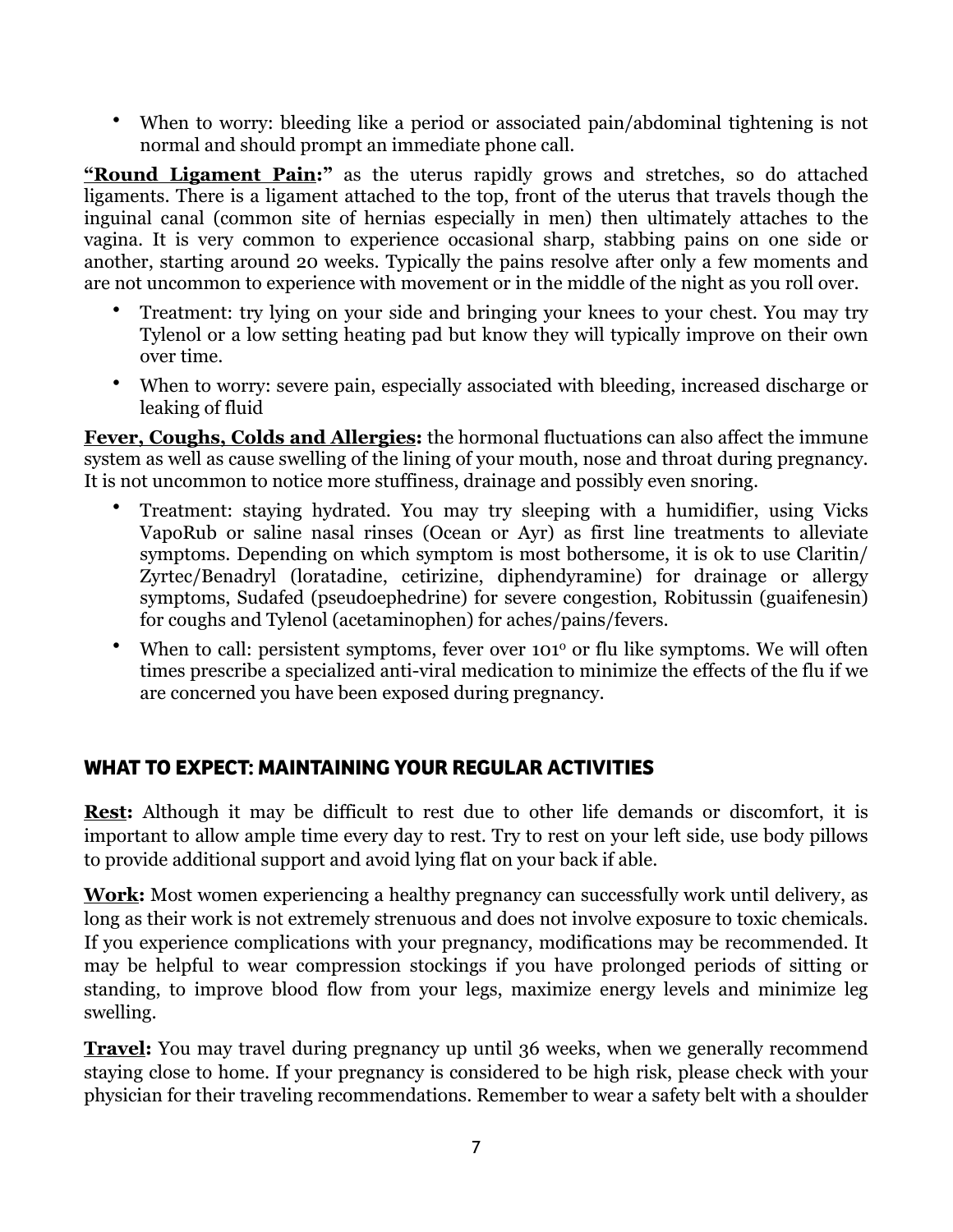• When to worry: bleeding like a period or associated pain/abdominal tightening is not normal and should prompt an immediate phone call.

**"Round Ligament Pain:"** as the uterus rapidly grows and stretches, so do attached ligaments. There is a ligament attached to the top, front of the uterus that travels though the inguinal canal (common site of hernias especially in men) then ultimately attaches to the vagina. It is very common to experience occasional sharp, stabbing pains on one side or another, starting around 20 weeks. Typically the pains resolve after only a few moments and are not uncommon to experience with movement or in the middle of the night as you roll over.

- Treatment: try lying on your side and bringing your knees to your chest. You may try Tylenol or a low setting heating pad but know they will typically improve on their own over time.
- When to worry: severe pain, especially associated with bleeding, increased discharge or leaking of fluid

**Fever, Coughs, Colds and Allergies:** the hormonal fluctuations can also affect the immune system as well as cause swelling of the lining of your mouth, nose and throat during pregnancy. It is not uncommon to notice more stuffiness, drainage and possibly even snoring.

- Treatment: staying hydrated. You may try sleeping with a humidifier, using Vicks VapoRub or saline nasal rinses (Ocean or Ayr) as first line treatments to alleviate symptoms. Depending on which symptom is most bothersome, it is ok to use Claritin/ Zyrtec/Benadryl (loratadine, cetirizine, diphendyramine) for drainage or allergy symptoms, Sudafed (pseudoephedrine) for severe congestion, Robitussin (guaifenesin) for coughs and Tylenol (acetaminophen) for aches/pains/fevers.
- When to call: persistent symptoms, fever over 101<sup>°</sup> or flu like symptoms. We will often times prescribe a specialized anti-viral medication to minimize the effects of the flu if we are concerned you have been exposed during pregnancy.

# **WHAT TO EXPECT: MAINTAINING YOUR REGULAR ACTIVITIES**

**Rest:** Although it may be difficult to rest due to other life demands or discomfort, it is important to allow ample time every day to rest. Try to rest on your left side, use body pillows to provide additional support and avoid lying flat on your back if able.

**Work:** Most women experiencing a healthy pregnancy can successfully work until delivery, as long as their work is not extremely strenuous and does not involve exposure to toxic chemicals. If you experience complications with your pregnancy, modifications may be recommended. It may be helpful to wear compression stockings if you have prolonged periods of sitting or standing, to improve blood flow from your legs, maximize energy levels and minimize leg swelling.

**Travel:** You may travel during pregnancy up until 36 weeks, when we generally recommend staying close to home. If your pregnancy is considered to be high risk, please check with your physician for their traveling recommendations. Remember to wear a safety belt with a shoulder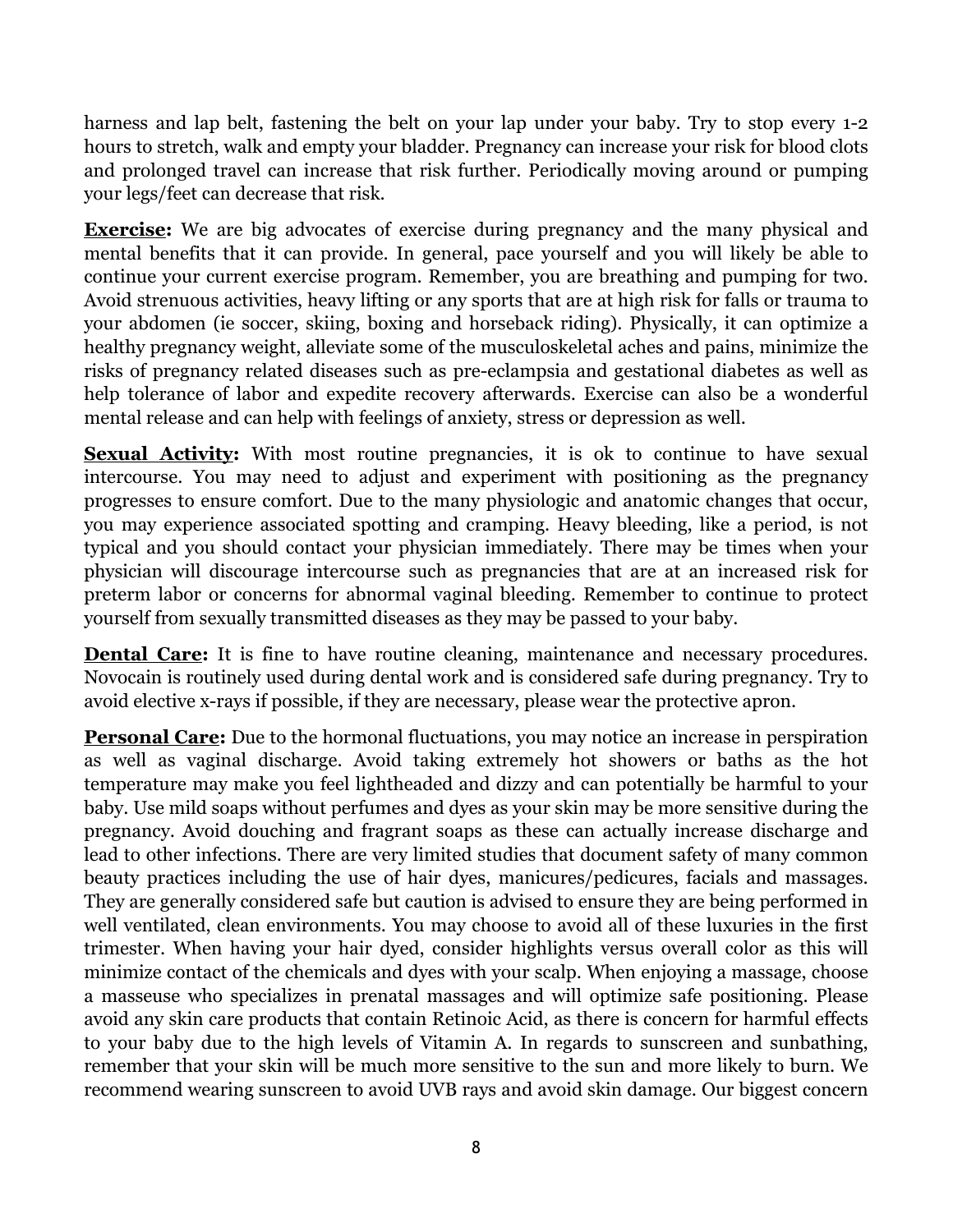harness and lap belt, fastening the belt on your lap under your baby. Try to stop every 1-2 hours to stretch, walk and empty your bladder. Pregnancy can increase your risk for blood clots and prolonged travel can increase that risk further. Periodically moving around or pumping your legs/feet can decrease that risk.

**Exercise:** We are big advocates of exercise during pregnancy and the many physical and mental benefits that it can provide. In general, pace yourself and you will likely be able to continue your current exercise program. Remember, you are breathing and pumping for two. Avoid strenuous activities, heavy lifting or any sports that are at high risk for falls or trauma to your abdomen (ie soccer, skiing, boxing and horseback riding). Physically, it can optimize a healthy pregnancy weight, alleviate some of the musculoskeletal aches and pains, minimize the risks of pregnancy related diseases such as pre-eclampsia and gestational diabetes as well as help tolerance of labor and expedite recovery afterwards. Exercise can also be a wonderful mental release and can help with feelings of anxiety, stress or depression as well.

**Sexual Activity:** With most routine pregnancies, it is ok to continue to have sexual intercourse. You may need to adjust and experiment with positioning as the pregnancy progresses to ensure comfort. Due to the many physiologic and anatomic changes that occur, you may experience associated spotting and cramping. Heavy bleeding, like a period, is not typical and you should contact your physician immediately. There may be times when your physician will discourage intercourse such as pregnancies that are at an increased risk for preterm labor or concerns for abnormal vaginal bleeding. Remember to continue to protect yourself from sexually transmitted diseases as they may be passed to your baby.

**Dental Care:** It is fine to have routine cleaning, maintenance and necessary procedures. Novocain is routinely used during dental work and is considered safe during pregnancy. Try to avoid elective x-rays if possible, if they are necessary, please wear the protective apron.

**Personal Care:** Due to the hormonal fluctuations, you may notice an increase in perspiration as well as vaginal discharge. Avoid taking extremely hot showers or baths as the hot temperature may make you feel lightheaded and dizzy and can potentially be harmful to your baby. Use mild soaps without perfumes and dyes as your skin may be more sensitive during the pregnancy. Avoid douching and fragrant soaps as these can actually increase discharge and lead to other infections. There are very limited studies that document safety of many common beauty practices including the use of hair dyes, manicures/pedicures, facials and massages. They are generally considered safe but caution is advised to ensure they are being performed in well ventilated, clean environments. You may choose to avoid all of these luxuries in the first trimester. When having your hair dyed, consider highlights versus overall color as this will minimize contact of the chemicals and dyes with your scalp. When enjoying a massage, choose a masseuse who specializes in prenatal massages and will optimize safe positioning. Please avoid any skin care products that contain Retinoic Acid, as there is concern for harmful effects to your baby due to the high levels of Vitamin A. In regards to sunscreen and sunbathing, remember that your skin will be much more sensitive to the sun and more likely to burn. We recommend wearing sunscreen to avoid UVB rays and avoid skin damage. Our biggest concern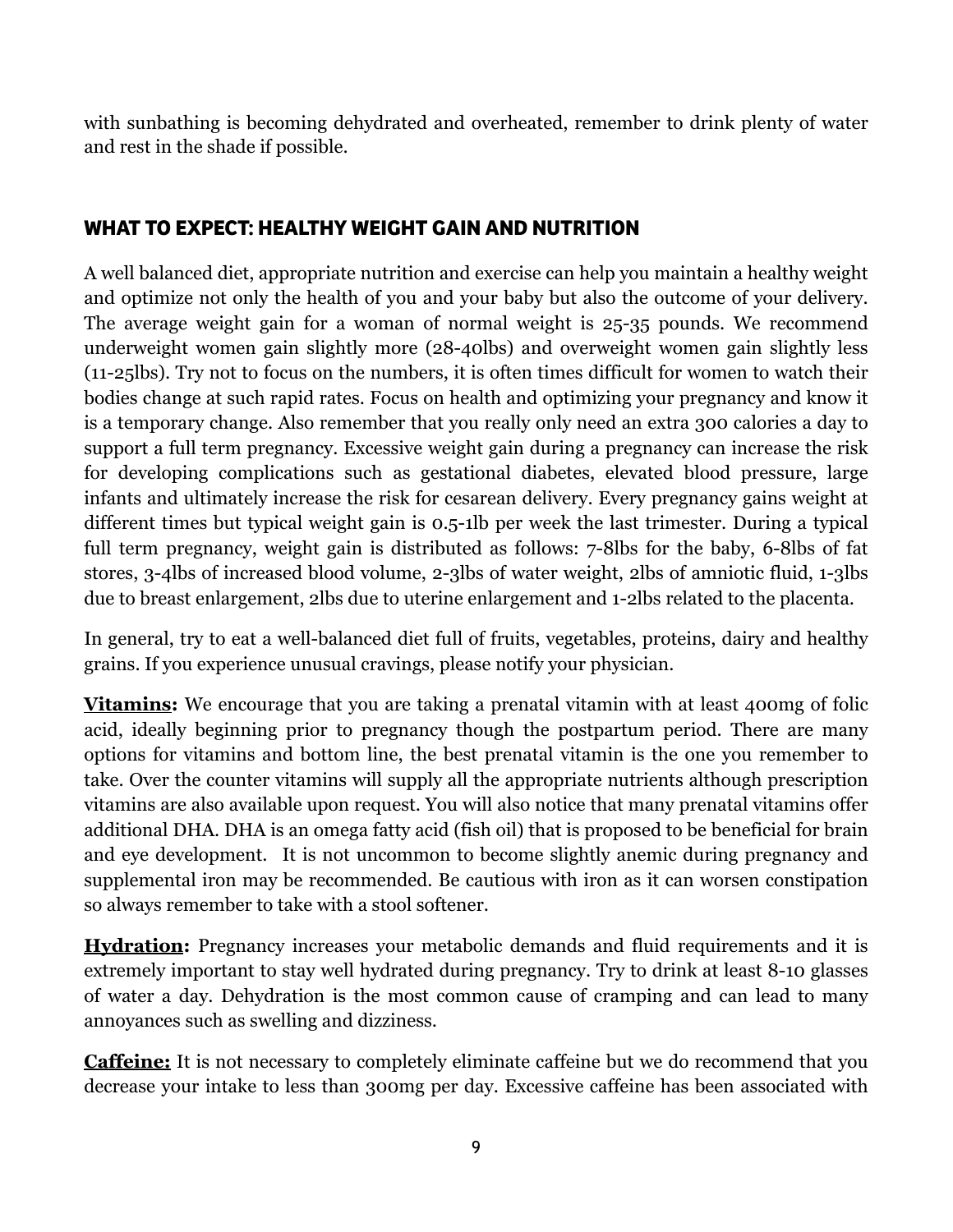with sunbathing is becoming dehydrated and overheated, remember to drink plenty of water and rest in the shade if possible.

## **WHAT TO EXPECT: HEALTHY WEIGHT GAIN AND NUTRITION**

A well balanced diet, appropriate nutrition and exercise can help you maintain a healthy weight and optimize not only the health of you and your baby but also the outcome of your delivery. The average weight gain for a woman of normal weight is 25-35 pounds. We recommend underweight women gain slightly more (28-40lbs) and overweight women gain slightly less (11-25lbs). Try not to focus on the numbers, it is often times difficult for women to watch their bodies change at such rapid rates. Focus on health and optimizing your pregnancy and know it is a temporary change. Also remember that you really only need an extra 300 calories a day to support a full term pregnancy. Excessive weight gain during a pregnancy can increase the risk for developing complications such as gestational diabetes, elevated blood pressure, large infants and ultimately increase the risk for cesarean delivery. Every pregnancy gains weight at different times but typical weight gain is 0.5-1lb per week the last trimester. During a typical full term pregnancy, weight gain is distributed as follows: 7-8lbs for the baby, 6-8lbs of fat stores, 3-4lbs of increased blood volume, 2-3lbs of water weight, 2lbs of amniotic fluid, 1-3lbs due to breast enlargement, 2lbs due to uterine enlargement and 1-2lbs related to the placenta.

In general, try to eat a well-balanced diet full of fruits, vegetables, proteins, dairy and healthy grains. If you experience unusual cravings, please notify your physician.

**Vitamins:** We encourage that you are taking a prenatal vitamin with at least 400mg of folic acid, ideally beginning prior to pregnancy though the postpartum period. There are many options for vitamins and bottom line, the best prenatal vitamin is the one you remember to take. Over the counter vitamins will supply all the appropriate nutrients although prescription vitamins are also available upon request. You will also notice that many prenatal vitamins offer additional DHA. DHA is an omega fatty acid (fish oil) that is proposed to be beneficial for brain and eye development. It is not uncommon to become slightly anemic during pregnancy and supplemental iron may be recommended. Be cautious with iron as it can worsen constipation so always remember to take with a stool softener.

**Hydration:** Pregnancy increases your metabolic demands and fluid requirements and it is extremely important to stay well hydrated during pregnancy. Try to drink at least 8-10 glasses of water a day. Dehydration is the most common cause of cramping and can lead to many annoyances such as swelling and dizziness.

**Caffeine:** It is not necessary to completely eliminate caffeine but we do recommend that you decrease your intake to less than 300mg per day. Excessive caffeine has been associated with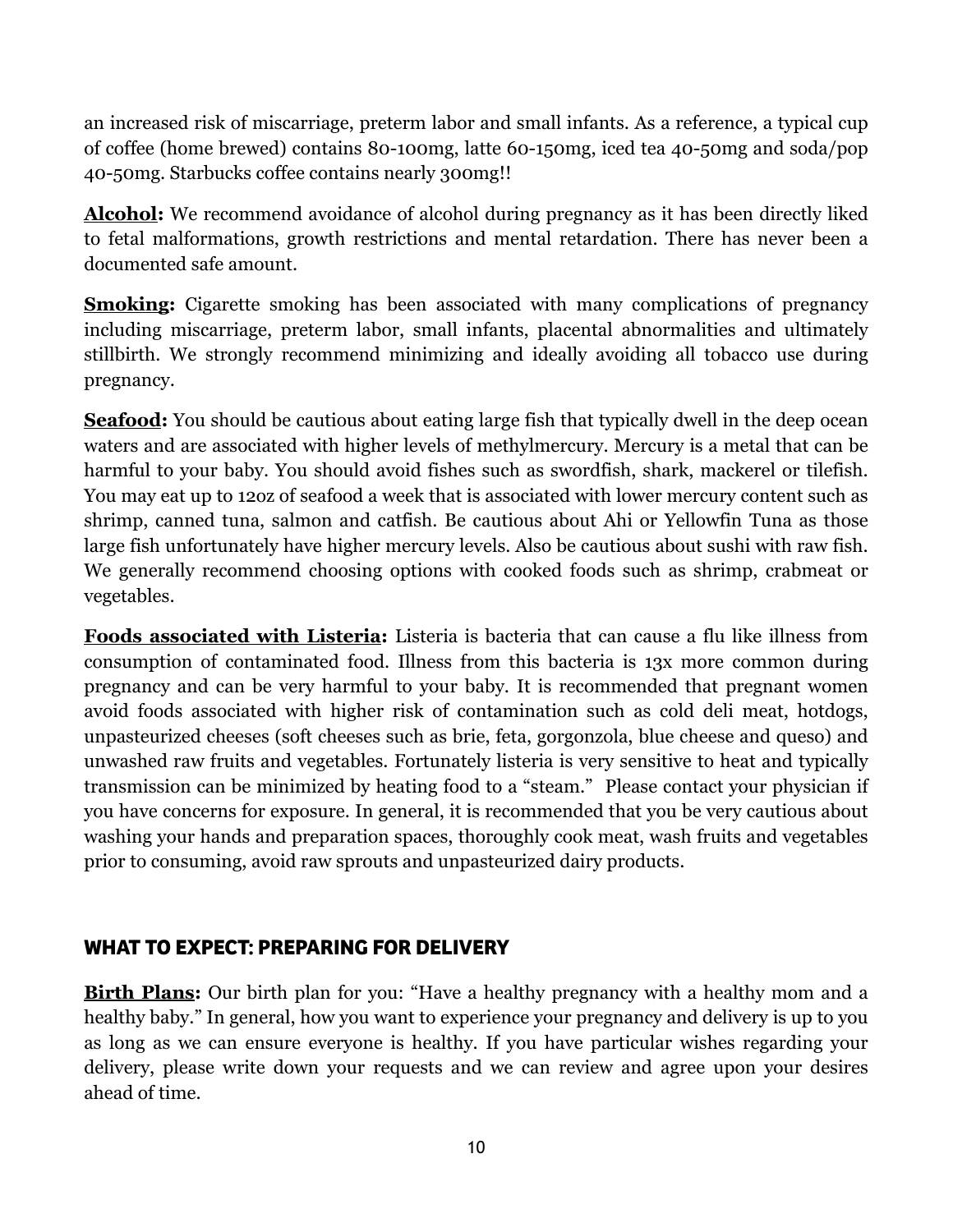an increased risk of miscarriage, preterm labor and small infants. As a reference, a typical cup of coffee (home brewed) contains 80-100mg, latte 60-150mg, iced tea 40-50mg and soda/pop 40-50mg. Starbucks coffee contains nearly 300mg!!

**Alcohol:** We recommend avoidance of alcohol during pregnancy as it has been directly liked to fetal malformations, growth restrictions and mental retardation. There has never been a documented safe amount.

**Smoking:** Cigarette smoking has been associated with many complications of pregnancy including miscarriage, preterm labor, small infants, placental abnormalities and ultimately stillbirth. We strongly recommend minimizing and ideally avoiding all tobacco use during pregnancy.

**Seafood:** You should be cautious about eating large fish that typically dwell in the deep ocean waters and are associated with higher levels of methylmercury. Mercury is a metal that can be harmful to your baby. You should avoid fishes such as swordfish, shark, mackerel or tilefish. You may eat up to 12oz of seafood a week that is associated with lower mercury content such as shrimp, canned tuna, salmon and catfish. Be cautious about Ahi or Yellowfin Tuna as those large fish unfortunately have higher mercury levels. Also be cautious about sushi with raw fish. We generally recommend choosing options with cooked foods such as shrimp, crabmeat or vegetables.

**Foods associated with Listeria:** Listeria is bacteria that can cause a flu like illness from consumption of contaminated food. Illness from this bacteria is 13x more common during pregnancy and can be very harmful to your baby. It is recommended that pregnant women avoid foods associated with higher risk of contamination such as cold deli meat, hotdogs, unpasteurized cheeses (soft cheeses such as brie, feta, gorgonzola, blue cheese and queso) and unwashed raw fruits and vegetables. Fortunately listeria is very sensitive to heat and typically transmission can be minimized by heating food to a "steam." Please contact your physician if you have concerns for exposure. In general, it is recommended that you be very cautious about washing your hands and preparation spaces, thoroughly cook meat, wash fruits and vegetables prior to consuming, avoid raw sprouts and unpasteurized dairy products.

# **WHAT TO EXPECT: PREPARING FOR DELIVERY**

**Birth Plans:** Our birth plan for you: "Have a healthy pregnancy with a healthy mom and a healthy baby." In general, how you want to experience your pregnancy and delivery is up to you as long as we can ensure everyone is healthy. If you have particular wishes regarding your delivery, please write down your requests and we can review and agree upon your desires ahead of time.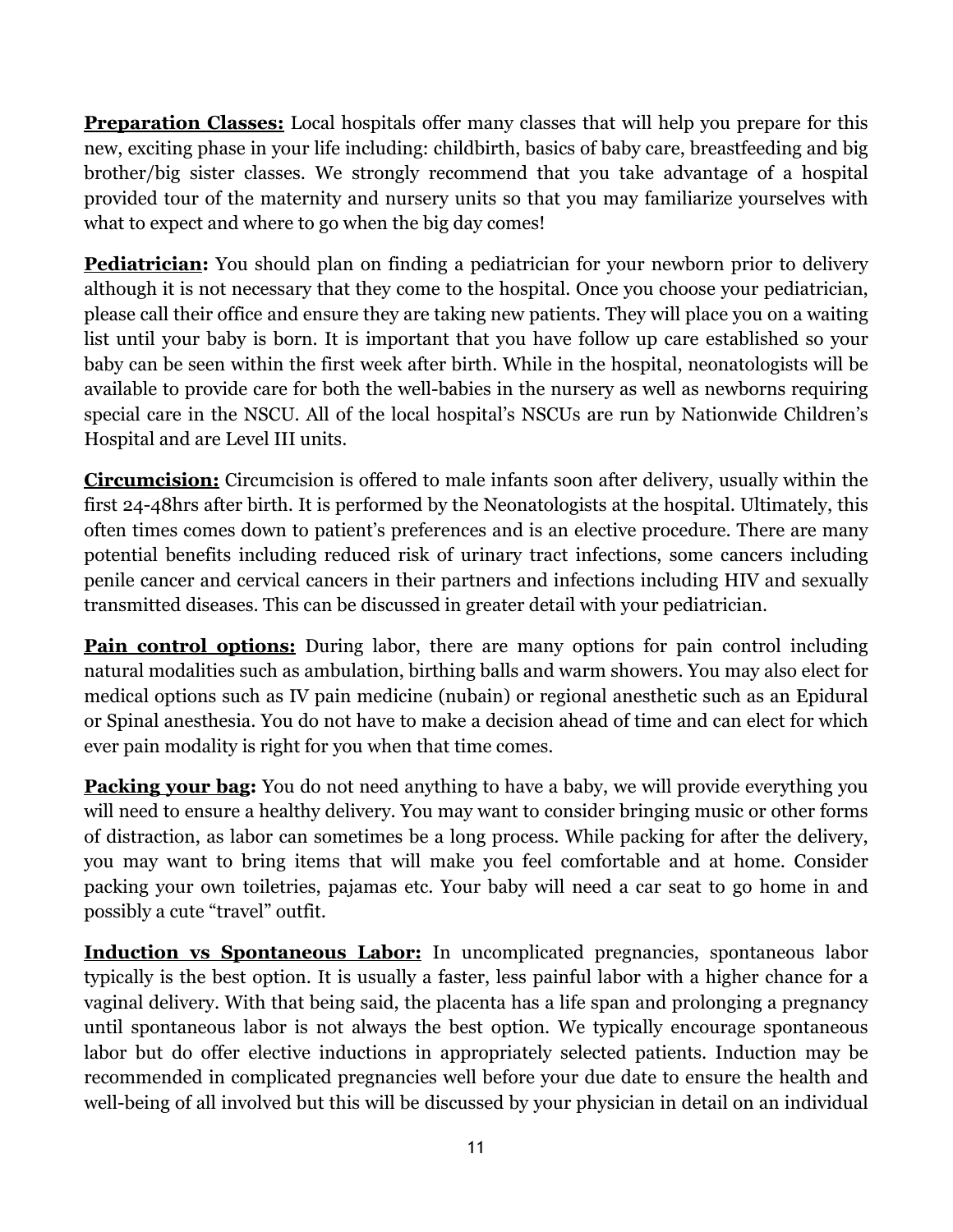**Preparation Classes:** Local hospitals offer many classes that will help you prepare for this new, exciting phase in your life including: childbirth, basics of baby care, breastfeeding and big brother/big sister classes. We strongly recommend that you take advantage of a hospital provided tour of the maternity and nursery units so that you may familiarize yourselves with what to expect and where to go when the big day comes!

**Pediatrician:** You should plan on finding a pediatrician for your newborn prior to delivery although it is not necessary that they come to the hospital. Once you choose your pediatrician, please call their office and ensure they are taking new patients. They will place you on a waiting list until your baby is born. It is important that you have follow up care established so your baby can be seen within the first week after birth. While in the hospital, neonatologists will be available to provide care for both the well-babies in the nursery as well as newborns requiring special care in the NSCU. All of the local hospital's NSCUs are run by Nationwide Children's Hospital and are Level III units.

**Circumcision:** Circumcision is offered to male infants soon after delivery, usually within the first 24-48hrs after birth. It is performed by the Neonatologists at the hospital. Ultimately, this often times comes down to patient's preferences and is an elective procedure. There are many potential benefits including reduced risk of urinary tract infections, some cancers including penile cancer and cervical cancers in their partners and infections including HIV and sexually transmitted diseases. This can be discussed in greater detail with your pediatrician.

**Pain control options:** During labor, there are many options for pain control including natural modalities such as ambulation, birthing balls and warm showers. You may also elect for medical options such as IV pain medicine (nubain) or regional anesthetic such as an Epidural or Spinal anesthesia. You do not have to make a decision ahead of time and can elect for which ever pain modality is right for you when that time comes.

**Packing your bag:** You do not need anything to have a baby, we will provide everything you will need to ensure a healthy delivery. You may want to consider bringing music or other forms of distraction, as labor can sometimes be a long process. While packing for after the delivery, you may want to bring items that will make you feel comfortable and at home. Consider packing your own toiletries, pajamas etc. Your baby will need a car seat to go home in and possibly a cute "travel" outfit.

**Induction vs Spontaneous Labor:** In uncomplicated pregnancies, spontaneous labor typically is the best option. It is usually a faster, less painful labor with a higher chance for a vaginal delivery. With that being said, the placenta has a life span and prolonging a pregnancy until spontaneous labor is not always the best option. We typically encourage spontaneous labor but do offer elective inductions in appropriately selected patients. Induction may be recommended in complicated pregnancies well before your due date to ensure the health and well-being of all involved but this will be discussed by your physician in detail on an individual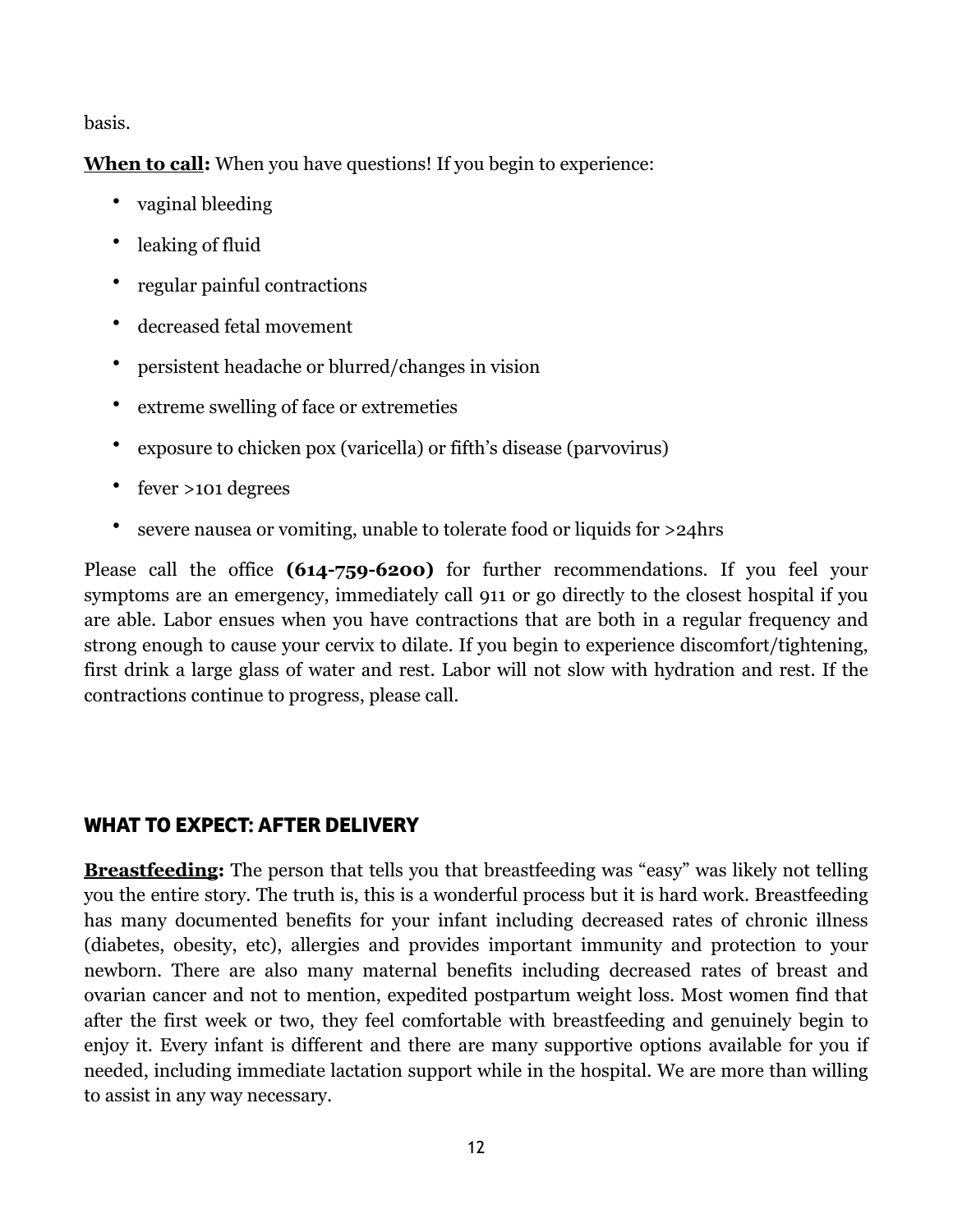basis.

**When to call:** When you have questions! If you begin to experience:

- vaginal bleeding
- leaking of fluid
- regular painful contractions
- decreased fetal movement
- persistent headache or blurred/changes in vision
- extreme swelling of face or extremeties
- exposure to chicken pox (varicella) or fifth's disease (parvovirus)
- fever >101 degrees
- severe nausea or vomiting, unable to tolerate food or liquids for >24hrs

Please call the office **(614-759-6200)** for further recommendations. If you feel your symptoms are an emergency, immediately call 911 or go directly to the closest hospital if you are able. Labor ensues when you have contractions that are both in a regular frequency and strong enough to cause your cervix to dilate. If you begin to experience discomfort/tightening, first drink a large glass of water and rest. Labor will not slow with hydration and rest. If the contractions continue to progress, please call.

# **WHAT TO EXPECT: AFTER DELIVERY**

**Breastfeeding:** The person that tells you that breastfeeding was "easy" was likely not telling you the entire story. The truth is, this is a wonderful process but it is hard work. Breastfeeding has many documented benefits for your infant including decreased rates of chronic illness (diabetes, obesity, etc), allergies and provides important immunity and protection to your newborn. There are also many maternal benefits including decreased rates of breast and ovarian cancer and not to mention, expedited postpartum weight loss. Most women find that after the first week or two, they feel comfortable with breastfeeding and genuinely begin to enjoy it. Every infant is different and there are many supportive options available for you if needed, including immediate lactation support while in the hospital. We are more than willing to assist in any way necessary.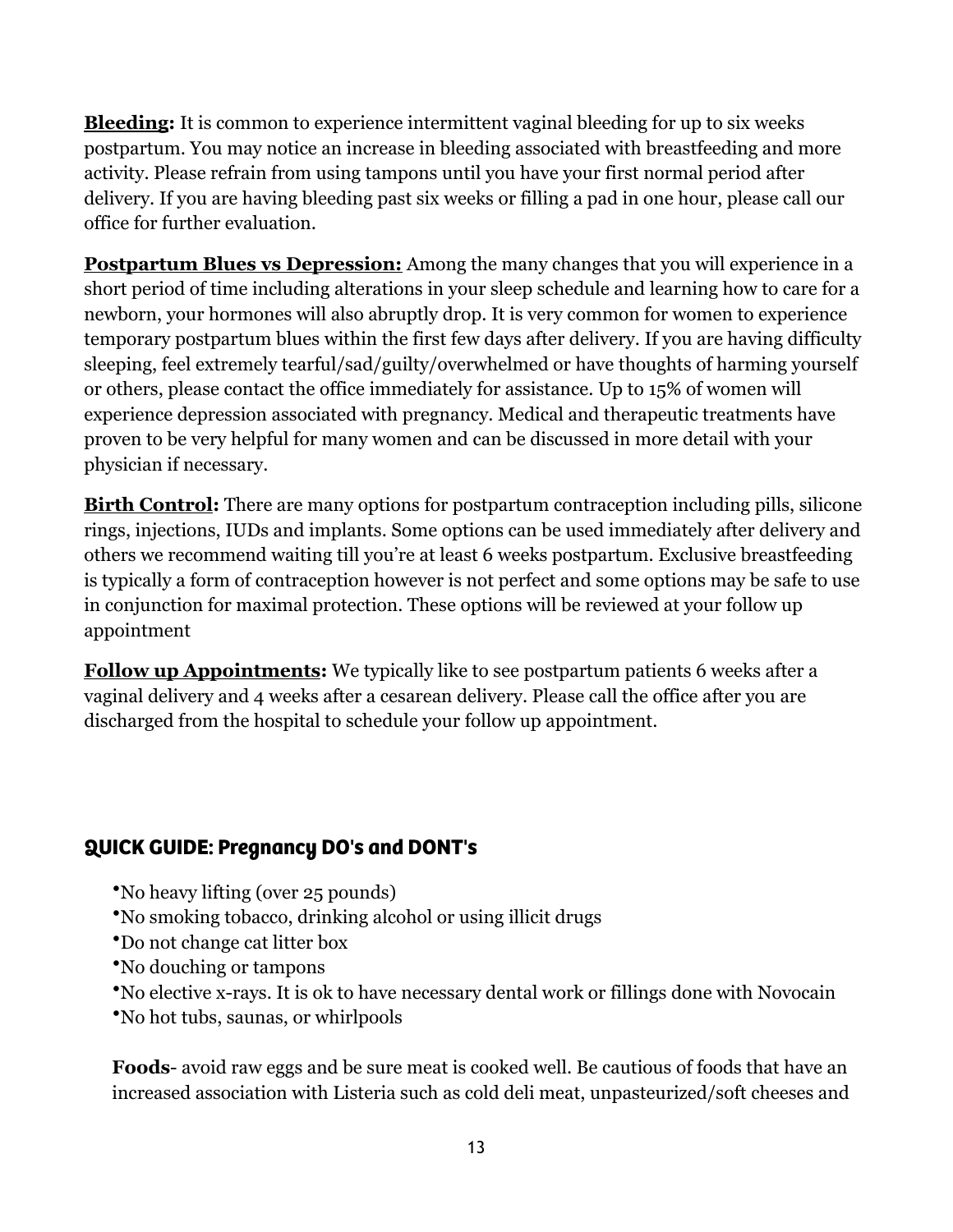**Bleeding:** It is common to experience intermittent vaginal bleeding for up to six weeks postpartum. You may notice an increase in bleeding associated with breastfeeding and more activity. Please refrain from using tampons until you have your first normal period after delivery. If you are having bleeding past six weeks or filling a pad in one hour, please call our office for further evaluation.

**Postpartum Blues vs Depression:** Among the many changes that you will experience in a short period of time including alterations in your sleep schedule and learning how to care for a newborn, your hormones will also abruptly drop. It is very common for women to experience temporary postpartum blues within the first few days after delivery. If you are having difficulty sleeping, feel extremely tearful/sad/guilty/overwhelmed or have thoughts of harming yourself or others, please contact the office immediately for assistance. Up to 15% of women will experience depression associated with pregnancy. Medical and therapeutic treatments have proven to be very helpful for many women and can be discussed in more detail with your physician if necessary.

**Birth Control:** There are many options for postpartum contraception including pills, silicone rings, injections, IUDs and implants. Some options can be used immediately after delivery and others we recommend waiting till you're at least 6 weeks postpartum. Exclusive breastfeeding is typically a form of contraception however is not perfect and some options may be safe to use in conjunction for maximal protection. These options will be reviewed at your follow up appointment

**Follow up Appointments:** We typically like to see postpartum patients 6 weeks after a vaginal delivery and 4 weeks after a cesarean delivery. Please call the office after you are discharged from the hospital to schedule your follow up appointment.

# **QUICK GUIDE: Pregnancy DO's and DONT's**

- •No heavy lifting (over 25 pounds)
- •No smoking tobacco, drinking alcohol or using illicit drugs
- •Do not change cat litter box
- •No douching or tampons
- •No elective x-rays. It is ok to have necessary dental work or fillings done with Novocain
- •No hot tubs, saunas, or whirlpools

**Foods**- avoid raw eggs and be sure meat is cooked well. Be cautious of foods that have an increased association with Listeria such as cold deli meat, unpasteurized/soft cheeses and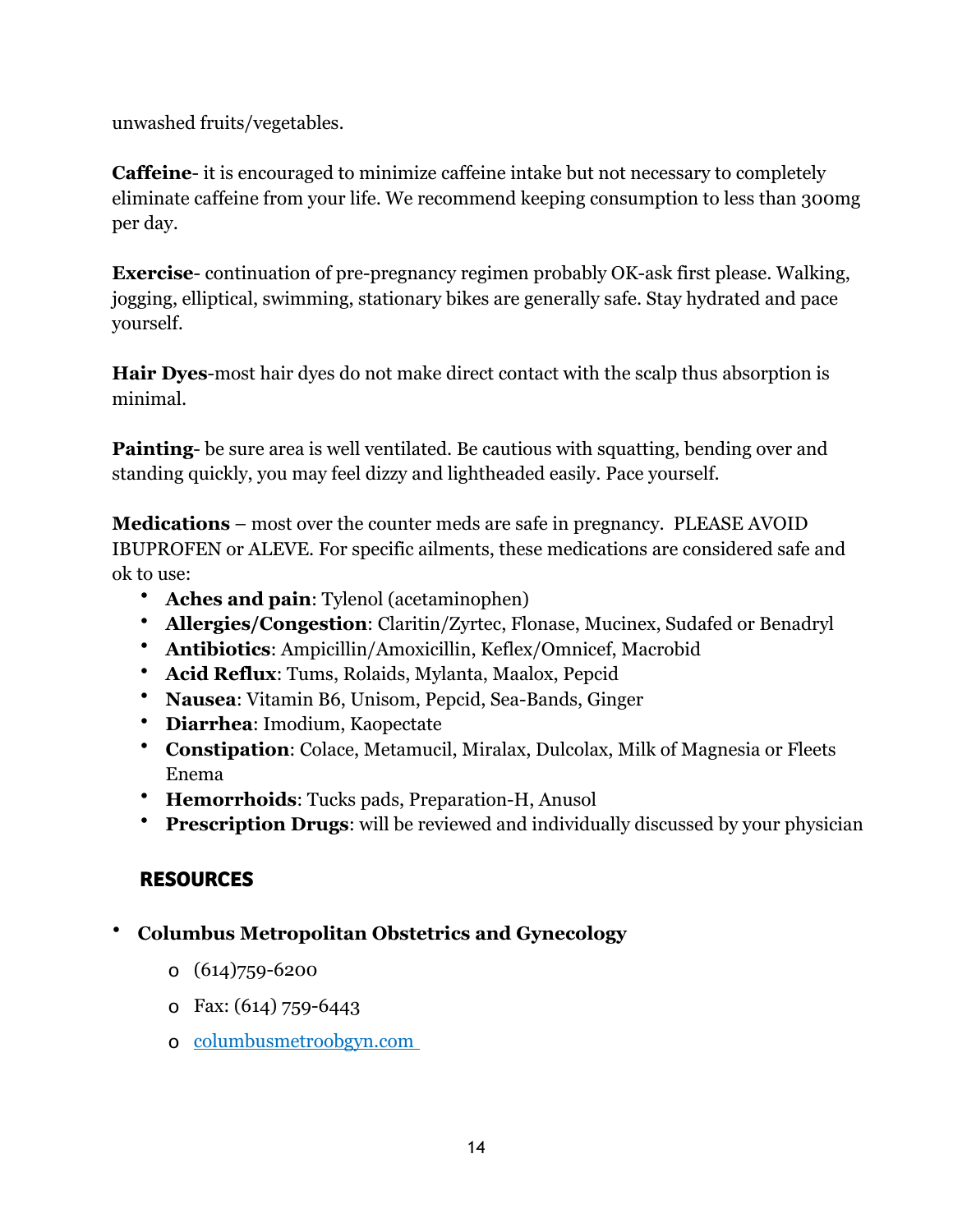unwashed fruits/vegetables.

**Caffeine**- it is encouraged to minimize caffeine intake but not necessary to completely eliminate caffeine from your life. We recommend keeping consumption to less than 300mg per day.

**Exercise**- continuation of pre-pregnancy regimen probably OK-ask first please. Walking, jogging, elliptical, swimming, stationary bikes are generally safe. Stay hydrated and pace yourself.

**Hair Dyes**-most hair dyes do not make direct contact with the scalp thus absorption is minimal.

**Painting**- be sure area is well ventilated. Be cautious with squatting, bending over and standing quickly, you may feel dizzy and lightheaded easily. Pace yourself.

**Medications** – most over the counter meds are safe in pregnancy. PLEASE AVOID IBUPROFEN or ALEVE. For specific ailments, these medications are considered safe and ok to use:

- **Aches and pain**: Tylenol (acetaminophen)
- **Allergies/Congestion**: Claritin/Zyrtec, Flonase, Mucinex, Sudafed or Benadryl
- **Antibiotics**: Ampicillin/Amoxicillin, Keflex/Omnicef, Macrobid
- **Acid Reflux**: Tums, Rolaids, Mylanta, Maalox, Pepcid
- **Nausea**: Vitamin B6, Unisom, Pepcid, Sea-Bands, Ginger
- **Diarrhea**: Imodium, Kaopectate
- **Constipation**: Colace, Metamucil, Miralax, Dulcolax, Milk of Magnesia or Fleets Enema
- **Hemorrhoids**: Tucks pads, Preparation-H, Anusol
- **Prescription Drugs**: will be reviewed and individually discussed by your physician

# **RESOURCES**

- **Columbus Metropolitan Obstetrics and Gynecology** 
	- o (614)759-6200
	- o Fax: (614) 759-6443
	- o columbusmetroobgyn.com